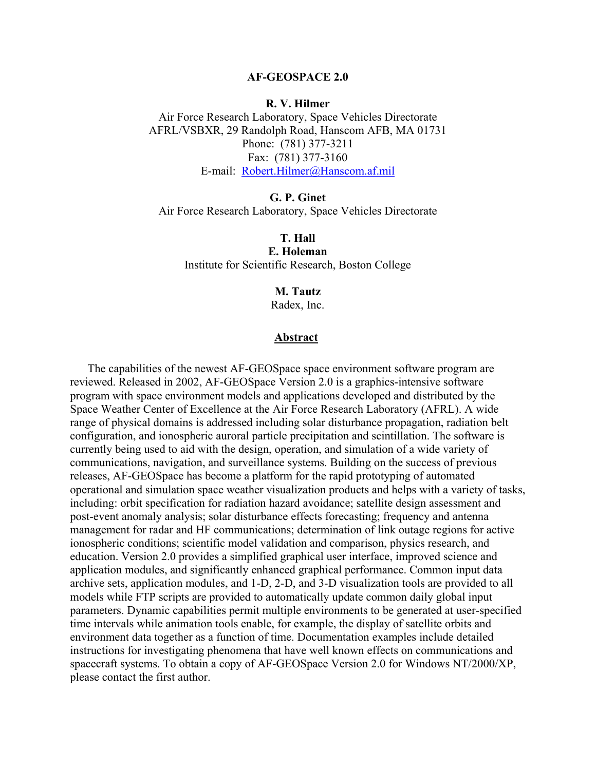#### **AF-GEOSPACE 2.0**

### **R. V. Hilmer**

Air Force Research Laboratory, Space Vehicles Directorate AFRL/VSBXR, 29 Randolph Road, Hanscom AFB, MA 01731 Phone: (781) 377-3211 Fax: (781) 377-3160 E-mail: [Robert.Hilmer@Hanscom.af.mil](mailto:Robert.Hilmer@Hanscom.af.mil)

**G. P. Ginet**  Air Force Research Laboratory, Space Vehicles Directorate

**T. Hall E. Holeman**  Institute for Scientific Research, Boston College

# **M. Tautz**

Radex, Inc.

## **Abstract**

The capabilities of the newest AF-GEOSpace space environment software program are reviewed. Released in 2002, AF-GEOSpace Version 2.0 is a graphics-intensive software program with space environment models and applications developed and distributed by the Space Weather Center of Excellence at the Air Force Research Laboratory (AFRL). A wide range of physical domains is addressed including solar disturbance propagation, radiation belt configuration, and ionospheric auroral particle precipitation and scintillation. The software is currently being used to aid with the design, operation, and simulation of a wide variety of communications, navigation, and surveillance systems. Building on the success of previous releases, AF-GEOSpace has become a platform for the rapid prototyping of automated operational and simulation space weather visualization products and helps with a variety of tasks, including: orbit specification for radiation hazard avoidance; satellite design assessment and post-event anomaly analysis; solar disturbance effects forecasting; frequency and antenna management for radar and HF communications; determination of link outage regions for active ionospheric conditions; scientific model validation and comparison, physics research, and education. Version 2.0 provides a simplified graphical user interface, improved science and application modules, and significantly enhanced graphical performance. Common input data archive sets, application modules, and 1-D, 2-D, and 3-D visualization tools are provided to all models while FTP scripts are provided to automatically update common daily global input parameters. Dynamic capabilities permit multiple environments to be generated at user-specified time intervals while animation tools enable, for example, the display of satellite orbits and environment data together as a function of time. Documentation examples include detailed instructions for investigating phenomena that have well known effects on communications and spacecraft systems. To obtain a copy of AF-GEOSpace Version 2.0 for Windows NT/2000/XP, please contact the first author.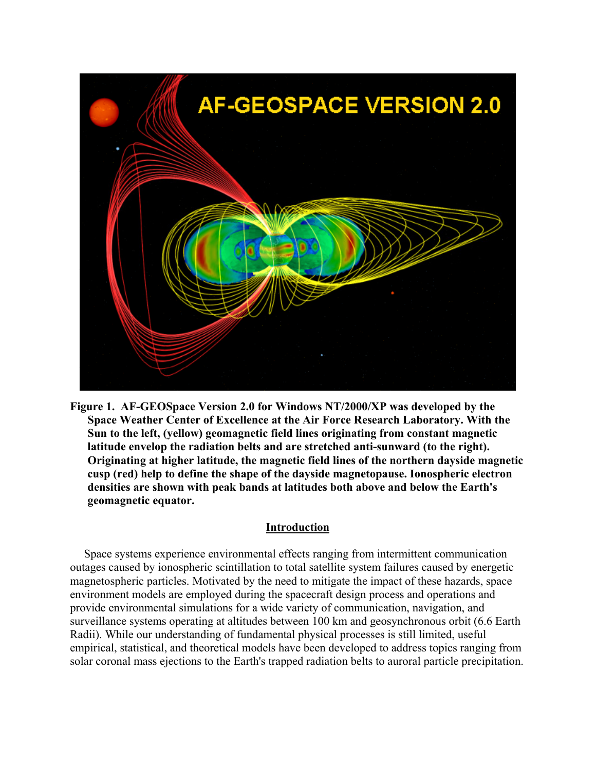

**Figure 1. AF-GEOSpace Version 2.0 for Windows NT/2000/XP was developed by the Space Weather Center of Excellence at the Air Force Research Laboratory. With the Sun to the left, (yellow) geomagnetic field lines originating from constant magnetic latitude envelop the radiation belts and are stretched anti-sunward (to the right). Originating at higher latitude, the magnetic field lines of the northern dayside magnetic cusp (red) help to define the shape of the dayside magnetopause. Ionospheric electron densities are shown with peak bands at latitudes both above and below the Earth's geomagnetic equator.** 

# **Introduction**

Space systems experience environmental effects ranging from intermittent communication outages caused by ionospheric scintillation to total satellite system failures caused by energetic magnetospheric particles. Motivated by the need to mitigate the impact of these hazards, space environment models are employed during the spacecraft design process and operations and provide environmental simulations for a wide variety of communication, navigation, and surveillance systems operating at altitudes between 100 km and geosynchronous orbit (6.6 Earth Radii). While our understanding of fundamental physical processes is still limited, useful empirical, statistical, and theoretical models have been developed to address topics ranging from solar coronal mass ejections to the Earth's trapped radiation belts to auroral particle precipitation.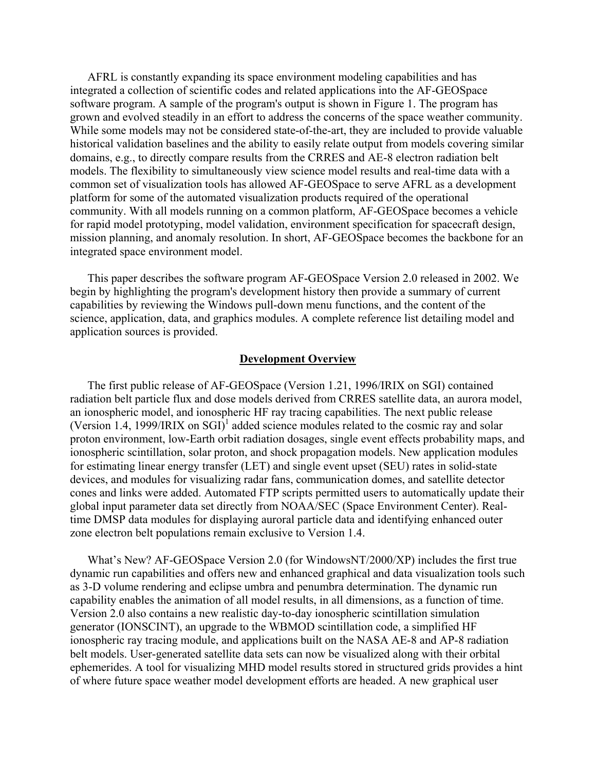AFRL is constantly expanding its space environment modeling capabilities and has integrated a collection of scientific codes and related applications into the AF-GEOSpace software program. A sample of the program's output is shown in Figure 1. The program has grown and evolved steadily in an effort to address the concerns of the space weather community. While some models may not be considered state-of-the-art, they are included to provide valuable historical validation baselines and the ability to easily relate output from models covering similar domains, e.g., to directly compare results from the CRRES and AE-8 electron radiation belt models. The flexibility to simultaneously view science model results and real-time data with a common set of visualization tools has allowed AF-GEOSpace to serve AFRL as a development platform for some of the automated visualization products required of the operational community. With all models running on a common platform, AF-GEOSpace becomes a vehicle for rapid model prototyping, model validation, environment specification for spacecraft design, mission planning, and anomaly resolution. In short, AF-GEOSpace becomes the backbone for an integrated space environment model.

This paper describes the software program AF-GEOSpace Version 2.0 released in 2002. We begin by highlighting the program's development history then provide a summary of current capabilities by reviewing the Windows pull-down menu functions, and the content of the science, application, data, and graphics modules. A complete reference list detailing model and application sources is provided.

### **Development Overview**

The first public release of AF-GEOSpace (Version 1.21, 1996/IRIX on SGI) contained radiation belt particle flux and dose models derived from CRRES satellite data, an aurora model, an ionospheric model, and ionospheric HF ray tracing capabilities. The next public release (Version 1.4, 1999/IRIX on SGI)<sup>1</sup> added science modules related to the cosmic ray and solar proton environment, low-Earth orbit radiation dosages, single event effects probability maps, and ionospheric scintillation, solar proton, and shock propagation models. New application modules for estimating linear energy transfer (LET) and single event upset (SEU) rates in solid-state devices, and modules for visualizing radar fans, communication domes, and satellite detector cones and links were added. Automated FTP scripts permitted users to automatically update their global input parameter data set directly from NOAA/SEC (Space Environment Center). Realtime DMSP data modules for displaying auroral particle data and identifying enhanced outer zone electron belt populations remain exclusive to Version 1.4.

What's New? AF-GEOSpace Version 2.0 (for WindowsNT/2000/XP) includes the first true dynamic run capabilities and offers new and enhanced graphical and data visualization tools such as 3-D volume rendering and eclipse umbra and penumbra determination. The dynamic run capability enables the animation of all model results, in all dimensions, as a function of time. Version 2.0 also contains a new realistic day-to-day ionospheric scintillation simulation generator (IONSCINT), an upgrade to the WBMOD scintillation code, a simplified HF ionospheric ray tracing module, and applications built on the NASA AE-8 and AP-8 radiation belt models. User-generated satellite data sets can now be visualized along with their orbital ephemerides. A tool for visualizing MHD model results stored in structured grids provides a hint of where future space weather model development efforts are headed. A new graphical user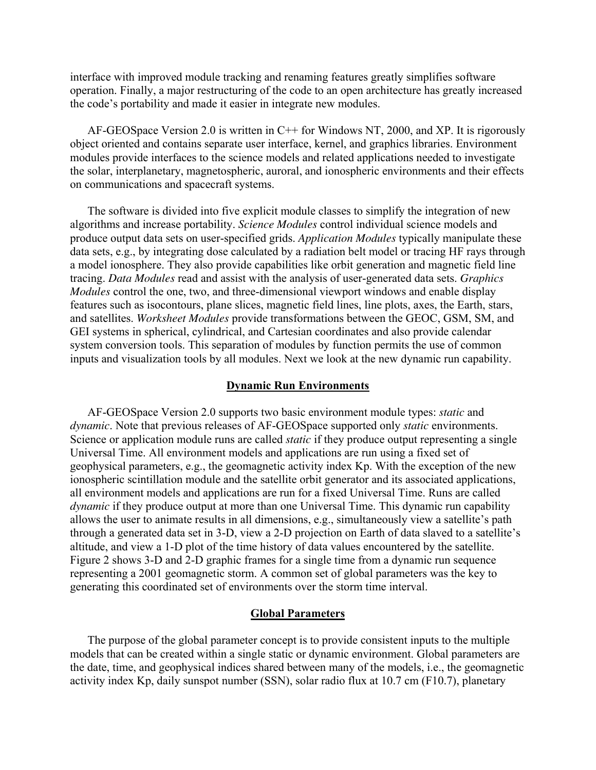interface with improved module tracking and renaming features greatly simplifies software operation. Finally, a major restructuring of the code to an open architecture has greatly increased the code's portability and made it easier in integrate new modules.

AF-GEOSpace Version 2.0 is written in C++ for Windows NT, 2000, and XP. It is rigorously object oriented and contains separate user interface, kernel, and graphics libraries. Environment modules provide interfaces to the science models and related applications needed to investigate the solar, interplanetary, magnetospheric, auroral, and ionospheric environments and their effects on communications and spacecraft systems.

The software is divided into five explicit module classes to simplify the integration of new algorithms and increase portability. *Science Modules* control individual science models and produce output data sets on user-specified grids. *Application Modules* typically manipulate these data sets, e.g., by integrating dose calculated by a radiation belt model or tracing HF rays through a model ionosphere. They also provide capabilities like orbit generation and magnetic field line tracing. *Data Modules* read and assist with the analysis of user-generated data sets. *Graphics Modules* control the one, two, and three-dimensional viewport windows and enable display features such as isocontours, plane slices, magnetic field lines, line plots, axes, the Earth, stars, and satellites. *Worksheet Modules* provide transformations between the GEOC, GSM, SM, and GEI systems in spherical, cylindrical, and Cartesian coordinates and also provide calendar system conversion tools. This separation of modules by function permits the use of common inputs and visualization tools by all modules. Next we look at the new dynamic run capability.

### **Dynamic Run Environments**

AF-GEOSpace Version 2.0 supports two basic environment module types: *static* and *dynamic*. Note that previous releases of AF-GEOSpace supported only *static* environments. Science or application module runs are called *static* if they produce output representing a single Universal Time. All environment models and applications are run using a fixed set of geophysical parameters, e.g., the geomagnetic activity index Kp. With the exception of the new ionospheric scintillation module and the satellite orbit generator and its associated applications, all environment models and applications are run for a fixed Universal Time. Runs are called *dynamic* if they produce output at more than one Universal Time. This dynamic run capability allows the user to animate results in all dimensions, e.g., simultaneously view a satellite's path through a generated data set in 3-D, view a 2-D projection on Earth of data slaved to a satellite's altitude, and view a 1-D plot of the time history of data values encountered by the satellite. Figure 2 shows 3-D and 2-D graphic frames for a single time from a dynamic run sequence representing a 2001 geomagnetic storm. A common set of global parameters was the key to generating this coordinated set of environments over the storm time interval.

### **Global Parameters**

The purpose of the global parameter concept is to provide consistent inputs to the multiple models that can be created within a single static or dynamic environment. Global parameters are the date, time, and geophysical indices shared between many of the models, i.e., the geomagnetic activity index Kp, daily sunspot number (SSN), solar radio flux at 10.7 cm (F10.7), planetary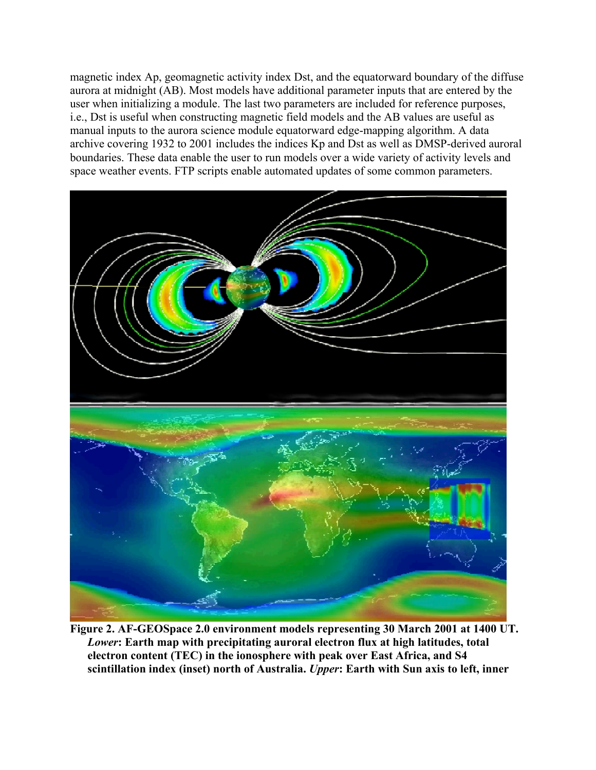magnetic index Ap, geomagnetic activity index Dst, and the equatorward boundary of the diffuse aurora at midnight (AB). Most models have additional parameter inputs that are entered by the user when initializing a module. The last two parameters are included for reference purposes, i.e., Dst is useful when constructing magnetic field models and the AB values are useful as manual inputs to the aurora science module equatorward edge-mapping algorithm. A data archive covering 1932 to 2001 includes the indices Kp and Dst as well as DMSP-derived auroral boundaries. These data enable the user to run models over a wide variety of activity levels and space weather events. FTP scripts enable automated updates of some common parameters.



**Figure 2. AF-GEOSpace 2.0 environment models representing 30 March 2001 at 1400 UT.**  *Lower***: Earth map with precipitating auroral electron flux at high latitudes, total electron content (TEC) in the ionosphere with peak over East Africa, and S4 scintillation index (inset) north of Australia.** *Upper***: Earth with Sun axis to left, inner**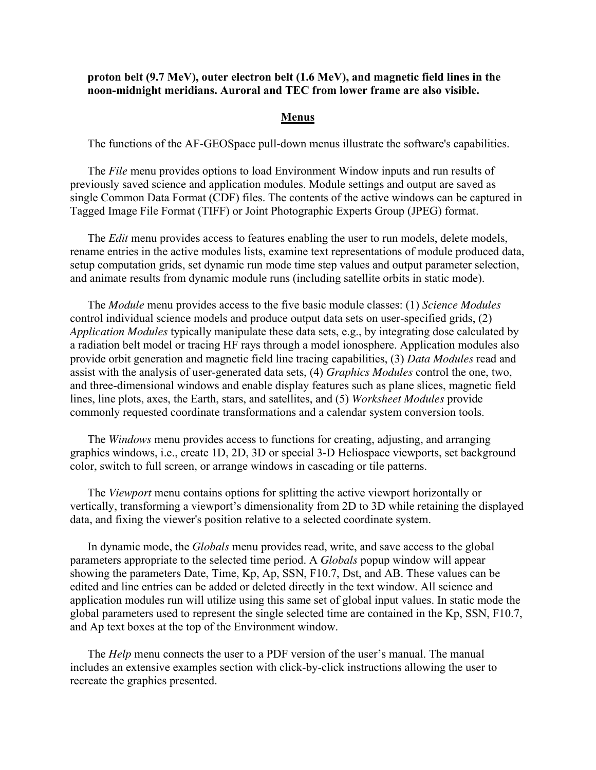# **proton belt (9.7 MeV), outer electron belt (1.6 MeV), and magnetic field lines in the noon-midnight meridians. Auroral and TEC from lower frame are also visible.**

## **Menus**

The functions of the AF-GEOSpace pull-down menus illustrate the software's capabilities.

The *File* menu provides options to load Environment Window inputs and run results of previously saved science and application modules. Module settings and output are saved as single Common Data Format (CDF) files. The contents of the active windows can be captured in Tagged Image File Format (TIFF) or Joint Photographic Experts Group (JPEG) format.

The *Edit* menu provides access to features enabling the user to run models, delete models, rename entries in the active modules lists, examine text representations of module produced data, setup computation grids, set dynamic run mode time step values and output parameter selection, and animate results from dynamic module runs (including satellite orbits in static mode).

The *Module* menu provides access to the five basic module classes: (1) *Science Modules* control individual science models and produce output data sets on user-specified grids, (2) *Application Modules* typically manipulate these data sets, e.g., by integrating dose calculated by a radiation belt model or tracing HF rays through a model ionosphere. Application modules also provide orbit generation and magnetic field line tracing capabilities, (3) *Data Modules* read and assist with the analysis of user-generated data sets, (4) *Graphics Modules* control the one, two, and three-dimensional windows and enable display features such as plane slices, magnetic field lines, line plots, axes, the Earth, stars, and satellites, and (5) *Worksheet Modules* provide commonly requested coordinate transformations and a calendar system conversion tools.

The *Windows* menu provides access to functions for creating, adjusting, and arranging graphics windows, i.e., create 1D, 2D, 3D or special 3-D Heliospace viewports, set background color, switch to full screen, or arrange windows in cascading or tile patterns.

The *Viewport* menu contains options for splitting the active viewport horizontally or vertically, transforming a viewport's dimensionality from 2D to 3D while retaining the displayed data, and fixing the viewer's position relative to a selected coordinate system.

In dynamic mode, the *Globals* menu provides read, write, and save access to the global parameters appropriate to the selected time period. A *Globals* popup window will appear showing the parameters Date, Time, Kp, Ap, SSN, F10.7, Dst, and AB. These values can be edited and line entries can be added or deleted directly in the text window. All science and application modules run will utilize using this same set of global input values. In static mode the global parameters used to represent the single selected time are contained in the Kp, SSN, F10.7, and Ap text boxes at the top of the Environment window.

The *Help* menu connects the user to a PDF version of the user's manual. The manual includes an extensive examples section with click-by-click instructions allowing the user to recreate the graphics presented.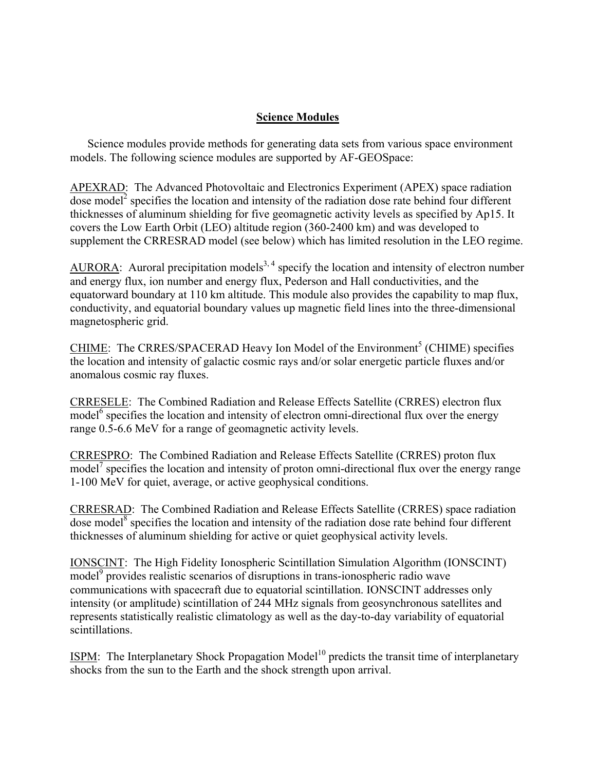# **Science Modules**

Science modules provide methods for generating data sets from various space environment models. The following science modules are supported by AF-GEOSpace:

APEXRAD: The Advanced Photovoltaic and Electronics Experiment (APEX) space radiation dose model<sup>2</sup> specifies the location and intensity of the radiation dose rate behind four different thicknesses of aluminum shielding for five geomagnetic activity levels as specified by Ap15. It covers the Low Earth Orbit (LEO) altitude region (360-2400 km) and was developed to supplement the CRRESRAD model (see below) which has limited resolution in the LEO regime.

AURORA: Auroral precipitation models<sup>3, 4</sup> specify the location and intensity of electron number and energy flux, ion number and energy flux, Pederson and Hall conductivities, and the equatorward boundary at 110 km altitude. This module also provides the capability to map flux, conductivity, and equatorial boundary values up magnetic field lines into the three-dimensional magnetospheric grid.

CHIME: The CRRES/SPACERAD Heavy Ion Model of the Environment<sup>5</sup> (CHIME) specifies the location and intensity of galactic cosmic rays and/or solar energetic particle fluxes and/or anomalous cosmic ray fluxes.

CRRESELE: The Combined Radiation and Release Effects Satellite (CRRES) electron flux model<sup>6</sup> specifies the location and intensity of electron omni-directional flux over the energy range 0.5-6.6 MeV for a range of geomagnetic activity levels.

CRRESPRO: The Combined Radiation and Release Effects Satellite (CRRES) proton flux model<sup>7</sup> specifies the location and intensity of proton omni-directional flux over the energy range 1-100 MeV for quiet, average, or active geophysical conditions.

CRRESRAD: The Combined Radiation and Release Effects Satellite (CRRES) space radiation dose model $^8$  specifies the location and intensity of the radiation dose rate behind four different thicknesses of aluminum shielding for active or quiet geophysical activity levels.

IONSCINT: The High Fidelity Ionospheric Scintillation Simulation Algorithm (IONSCINT) model<sup>9</sup> provides realistic scenarios of disruptions in trans-ionospheric radio wave communications with spacecraft due to equatorial scintillation. IONSCINT addresses only intensity (or amplitude) scintillation of 244 MHz signals from geosynchronous satellites and represents statistically realistic climatology as well as the day-to-day variability of equatorial scintillations.

ISPM: The Interplanetary Shock Propagation Model<sup>10</sup> predicts the transit time of interplanetary shocks from the sun to the Earth and the shock strength upon arrival.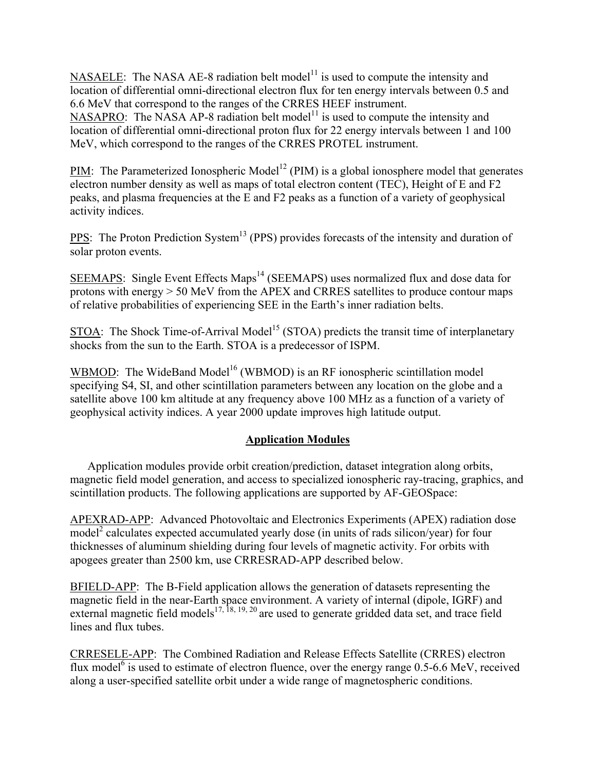NASAELE: The NASA AE-8 radiation belt model<sup>11</sup> is used to compute the intensity and location of differential omni-directional electron flux for ten energy intervals between 0.5 and 6.6 MeV that correspond to the ranges of the CRRES HEEF instrument.

NASAPRO: The NASA AP-8 radiation belt model<sup>11</sup> is used to compute the intensity and location of differential omni-directional proton flux for 22 energy intervals between 1 and 100 MeV, which correspond to the ranges of the CRRES PROTEL instrument.

PIM: The Parameterized Ionospheric Model<sup>12</sup> (PIM) is a global ionosphere model that generates electron number density as well as maps of total electron content (TEC), Height of E and F2 peaks, and plasma frequencies at the E and F2 peaks as a function of a variety of geophysical activity indices.

PPS: The Proton Prediction System<sup>13</sup> (PPS) provides forecasts of the intensity and duration of solar proton events.

SEEMAPS: Single Event Effects Maps<sup>14</sup> (SEEMAPS) uses normalized flux and dose data for protons with energy > 50 MeV from the APEX and CRRES satellites to produce contour maps of relative probabilities of experiencing SEE in the Earth's inner radiation belts.

STOA: The Shock Time-of-Arrival Model<sup>15</sup> (STOA) predicts the transit time of interplanetary shocks from the sun to the Earth. STOA is a predecessor of ISPM.

WBMOD: The WideBand Model<sup>16</sup> (WBMOD) is an RF ionospheric scintillation model specifying S4, SI, and other scintillation parameters between any location on the globe and a satellite above 100 km altitude at any frequency above 100 MHz as a function of a variety of geophysical activity indices. A year 2000 update improves high latitude output.

# **Application Modules**

Application modules provide orbit creation/prediction, dataset integration along orbits, magnetic field model generation, and access to specialized ionospheric ray-tracing, graphics, and scintillation products. The following applications are supported by AF-GEOSpace:

APEXRAD-APP: Advanced Photovoltaic and Electronics Experiments (APEX) radiation dose model<sup>2</sup> calculates expected accumulated yearly dose (in units of rads silicon/year) for four thicknesses of aluminum shielding during four levels of magnetic activity. For orbits with apogees greater than 2500 km, use CRRESRAD-APP described below.

BFIELD-APP: The B-Field application allows the generation of datasets representing the magnetic field in the near-Earth space environment. A variety of internal (dipole, IGRF) and external magnetic field models<sup>17, 18, 19, 20</sup> are used to generate gridded data set, and trace field lines and flux tubes.

CRRESELE-APP: The Combined Radiation and Release Effects Satellite (CRRES) electron flux model<sup>6</sup> is used to estimate of electron fluence, over the energy range 0.5-6.6 MeV, received along a user-specified satellite orbit under a wide range of magnetospheric conditions.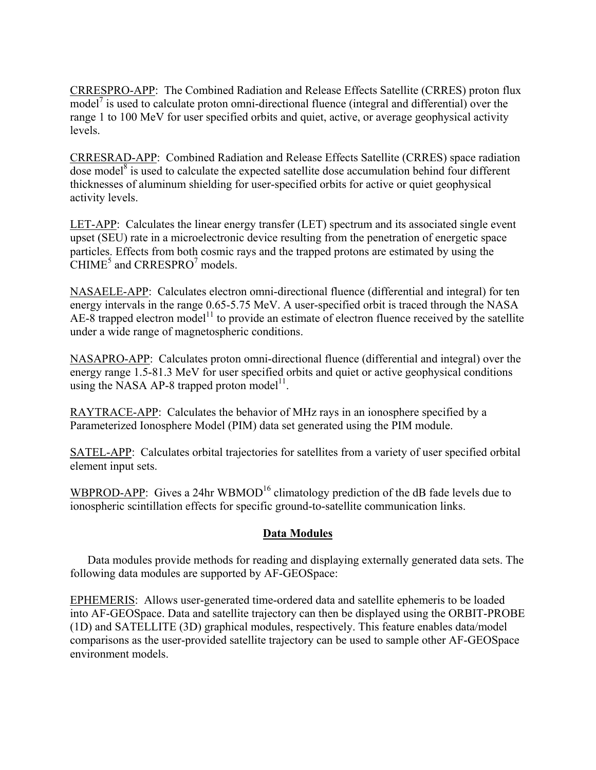CRRESPRO-APP: The Combined Radiation and Release Effects Satellite (CRRES) proton flux model<sup>7</sup> is used to calculate proton omni-directional fluence (integral and differential) over the range 1 to 100 MeV for user specified orbits and quiet, active, or average geophysical activity levels.

CRRESRAD-APP: Combined Radiation and Release Effects Satellite (CRRES) space radiation dose model<sup>8</sup> is used to calculate the expected satellite dose accumulation behind four different thicknesses of aluminum shielding for user-specified orbits for active or quiet geophysical activity levels.

LET-APP: Calculates the linear energy transfer (LET) spectrum and its associated single event upset (SEU) rate in a microelectronic device resulting from the penetration of energetic space particles. Effects from both cosmic rays and the trapped protons are estimated by using the CHIME<sup>5</sup> and CRRESPRO<sup>7</sup> models.

NASAELE-APP: Calculates electron omni-directional fluence (differential and integral) for ten energy intervals in the range 0.65-5.75 MeV. A user-specified orbit is traced through the NASA  $AE-8$  trapped electron model<sup>11</sup> to provide an estimate of electron fluence received by the satellite under a wide range of magnetospheric conditions.

NASAPRO-APP: Calculates proton omni-directional fluence (differential and integral) over the energy range 1.5-81.3 MeV for user specified orbits and quiet or active geophysical conditions using the NASA AP-8 trapped proton model<sup>11</sup>.

RAYTRACE-APP: Calculates the behavior of MHz rays in an ionosphere specified by a Parameterized Ionosphere Model (PIM) data set generated using the PIM module.

SATEL-APP: Calculates orbital trajectories for satellites from a variety of user specified orbital element input sets.

WBPROD-APP: Gives a 24hr WBMOD<sup>16</sup> climatology prediction of the dB fade levels due to ionospheric scintillation effects for specific ground-to-satellite communication links.

# **Data Modules**

Data modules provide methods for reading and displaying externally generated data sets. The following data modules are supported by AF-GEOSpace:

EPHEMERIS: Allows user-generated time-ordered data and satellite ephemeris to be loaded into AF-GEOSpace. Data and satellite trajectory can then be displayed using the ORBIT-PROBE (1D) and SATELLITE (3D) graphical modules, respectively. This feature enables data/model comparisons as the user-provided satellite trajectory can be used to sample other AF-GEOSpace environment models.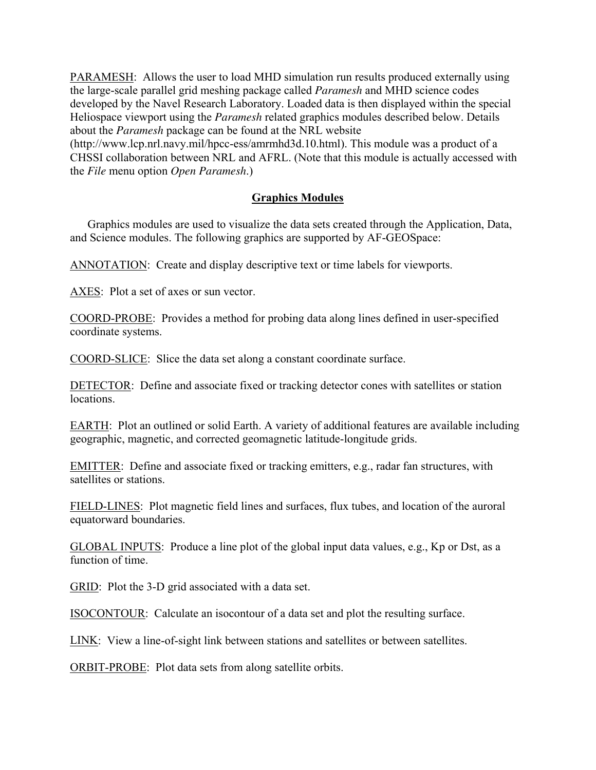PARAMESH: Allows the user to load MHD simulation run results produced externally using the large-scale parallel grid meshing package called *Paramesh* and MHD science codes developed by the Navel Research Laboratory. Loaded data is then displayed within the special Heliospace viewport using the *Paramesh* related graphics modules described below. Details about the *Paramesh* package can be found at the NRL website

(http://www.lcp.nrl.navy.mil/hpcc-ess/amrmhd3d.10.html). This module was a product of a CHSSI collaboration between NRL and AFRL. (Note that this module is actually accessed with the *File* menu option *Open Paramesh*.)

# **Graphics Modules**

Graphics modules are used to visualize the data sets created through the Application, Data, and Science modules. The following graphics are supported by AF-GEOSpace:

ANNOTATION: Create and display descriptive text or time labels for viewports.

AXES: Plot a set of axes or sun vector.

COORD-PROBE: Provides a method for probing data along lines defined in user-specified coordinate systems.

COORD-SLICE: Slice the data set along a constant coordinate surface.

DETECTOR: Define and associate fixed or tracking detector cones with satellites or station locations.

EARTH: Plot an outlined or solid Earth. A variety of additional features are available including geographic, magnetic, and corrected geomagnetic latitude-longitude grids.

EMITTER: Define and associate fixed or tracking emitters, e.g., radar fan structures, with satellites or stations.

FIELD-LINES: Plot magnetic field lines and surfaces, flux tubes, and location of the auroral equatorward boundaries.

GLOBAL INPUTS: Produce a line plot of the global input data values, e.g., Kp or Dst, as a function of time.

GRID: Plot the 3-D grid associated with a data set.

ISOCONTOUR: Calculate an isocontour of a data set and plot the resulting surface.

LINK: View a line-of-sight link between stations and satellites or between satellites.

ORBIT-PROBE: Plot data sets from along satellite orbits.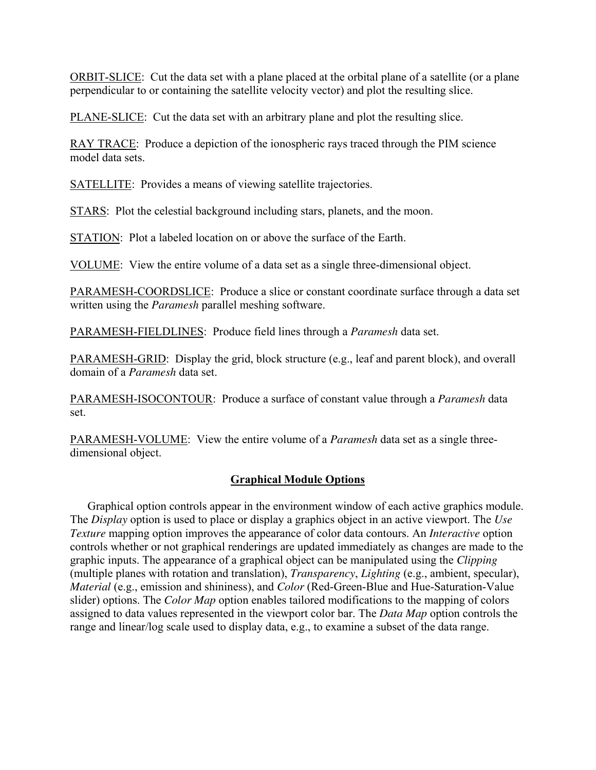ORBIT-SLICE: Cut the data set with a plane placed at the orbital plane of a satellite (or a plane perpendicular to or containing the satellite velocity vector) and plot the resulting slice.

PLANE-SLICE: Cut the data set with an arbitrary plane and plot the resulting slice.

RAY TRACE: Produce a depiction of the ionospheric rays traced through the PIM science model data sets.

SATELLITE: Provides a means of viewing satellite trajectories.

STARS: Plot the celestial background including stars, planets, and the moon.

STATION: Plot a labeled location on or above the surface of the Earth.

VOLUME: View the entire volume of a data set as a single three-dimensional object.

PARAMESH-COORDSLICE: Produce a slice or constant coordinate surface through a data set written using the *Paramesh* parallel meshing software.

PARAMESH-FIELDLINES: Produce field lines through a *Paramesh* data set.

PARAMESH-GRID: Display the grid, block structure (e.g., leaf and parent block), and overall domain of a *Paramesh* data set.

PARAMESH-ISOCONTOUR: Produce a surface of constant value through a *Paramesh* data set.

PARAMESH-VOLUME: View the entire volume of a *Paramesh* data set as a single threedimensional object.

# **Graphical Module Options**

Graphical option controls appear in the environment window of each active graphics module. The *Display* option is used to place or display a graphics object in an active viewport. The *Use Texture* mapping option improves the appearance of color data contours. An *Interactive* option controls whether or not graphical renderings are updated immediately as changes are made to the graphic inputs. The appearance of a graphical object can be manipulated using the *Clipping* (multiple planes with rotation and translation), *Transparency*, *Lighting* (e.g., ambient, specular), *Material* (e.g., emission and shininess), and *Color* (Red-Green-Blue and Hue-Saturation-Value slider) options. The *Color Map* option enables tailored modifications to the mapping of colors assigned to data values represented in the viewport color bar. The *Data Map* option controls the range and linear/log scale used to display data, e.g., to examine a subset of the data range.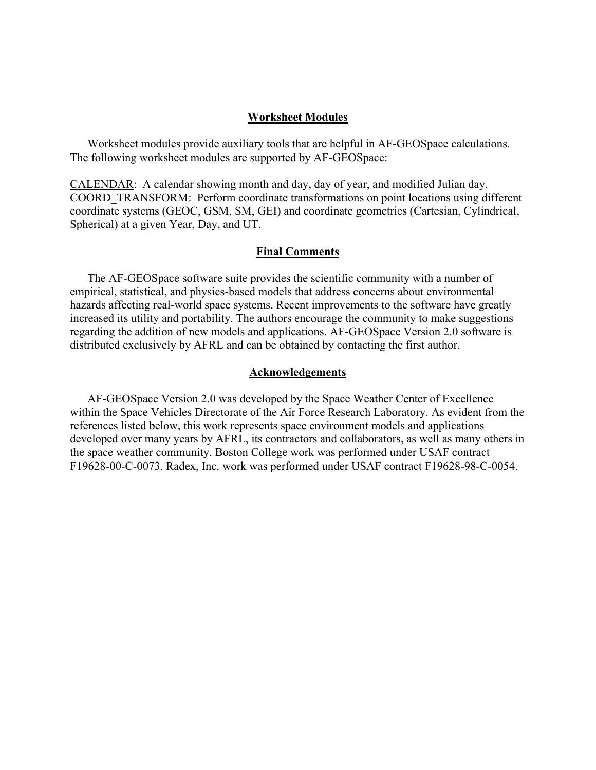## **Worksheet Modules**

Worksheet modules provide auxiliary tools that are helpful in AF-GEOSpace calculations. The following worksheet modules are supported by AF-GEOSpace:

CALENDAR: A calendar showing month and day, day of year, and modified Julian day. COORD\_TRANSFORM: Perform coordinate transformations on point locations using different coordinate systems (GEOC, GSM, SM, GEI) and coordinate geometries (Cartesian, Cylindrical, Spherical) at a given Year, Day, and UT.

### **Final Comments**

The AF-GEOSpace software suite provides the scientific community with a number of empirical, statistical, and physics-based models that address concerns about environmental hazards affecting real-world space systems. Recent improvements to the software have greatly increased its utility and portability. The authors encourage the community to make suggestions regarding the addition of new models and applications. AF-GEOSpace Version 2.0 software is distributed exclusively by AFRL and can be obtained by contacting the first author.

#### **Acknowledgements**

AF-GEOSpace Version 2.0 was developed by the Space Weather Center of Excellence within the Space Vehicles Directorate of the Air Force Research Laboratory. As evident from the references listed below, this work represents space environment models and applications developed over many years by AFRL, its contractors and collaborators, as well as many others in the space weather community. Boston College work was performed under USAF contract F19628-00-C-0073. Radex, Inc. work was performed under USAF contract F19628-98-C-0054.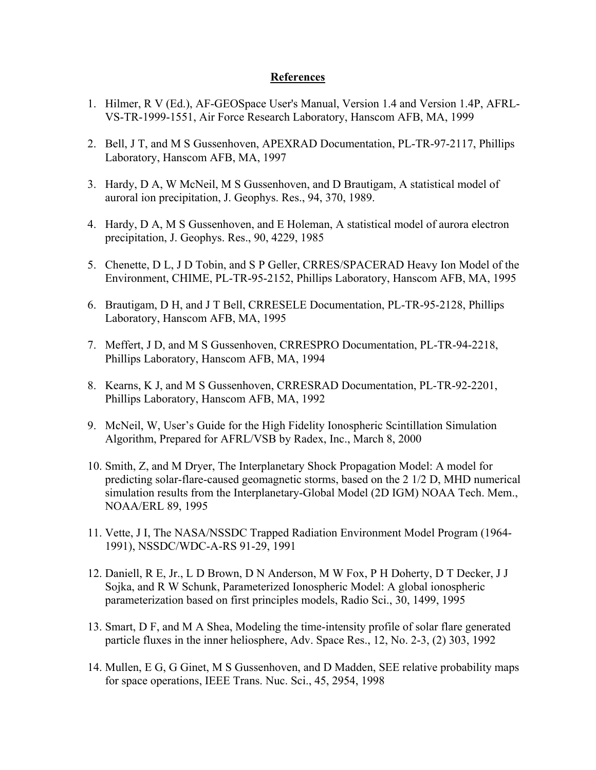# **References**

- 1. Hilmer, R V (Ed.), AF-GEOSpace User's Manual, Version 1.4 and Version 1.4P, AFRL-VS-TR-1999-1551, Air Force Research Laboratory, Hanscom AFB, MA, 1999
- 2. Bell, J T, and M S Gussenhoven, APEXRAD Documentation, PL-TR-97-2117, Phillips Laboratory, Hanscom AFB, MA, 1997
- 3. Hardy, D A, W McNeil, M S Gussenhoven, and D Brautigam, A statistical model of auroral ion precipitation, J. Geophys. Res., 94, 370, 1989.
- 4. Hardy, D A, M S Gussenhoven, and E Holeman, A statistical model of aurora electron precipitation, J. Geophys. Res., 90, 4229, 1985
- 5. Chenette, D L, J D Tobin, and S P Geller, CRRES/SPACERAD Heavy Ion Model of the Environment, CHIME, PL-TR-95-2152, Phillips Laboratory, Hanscom AFB, MA, 1995
- 6. Brautigam, D H, and J T Bell, CRRESELE Documentation, PL-TR-95-2128, Phillips Laboratory, Hanscom AFB, MA, 1995
- 7. Meffert, J D, and M S Gussenhoven, CRRESPRO Documentation, PL-TR-94-2218, Phillips Laboratory, Hanscom AFB, MA, 1994
- 8. Kearns, K J, and M S Gussenhoven, CRRESRAD Documentation, PL-TR-92-2201, Phillips Laboratory, Hanscom AFB, MA, 1992
- 9. McNeil, W, User's Guide for the High Fidelity Ionospheric Scintillation Simulation Algorithm, Prepared for AFRL/VSB by Radex, Inc., March 8, 2000
- 10. Smith, Z, and M Dryer, The Interplanetary Shock Propagation Model: A model for predicting solar-flare-caused geomagnetic storms, based on the 2 1/2 D, MHD numerical simulation results from the Interplanetary-Global Model (2D IGM) NOAA Tech. Mem., NOAA/ERL 89, 1995
- 11. Vette, J I, The NASA/NSSDC Trapped Radiation Environment Model Program (1964- 1991), NSSDC/WDC-A-RS 91-29, 1991
- 12. Daniell, R E, Jr., L D Brown, D N Anderson, M W Fox, P H Doherty, D T Decker, J J Sojka, and R W Schunk, Parameterized Ionospheric Model: A global ionospheric parameterization based on first principles models, Radio Sci., 30, 1499, 1995
- 13. Smart, D F, and M A Shea, Modeling the time-intensity profile of solar flare generated particle fluxes in the inner heliosphere, Adv. Space Res., 12, No. 2-3, (2) 303, 1992
- 14. Mullen, E G, G Ginet, M S Gussenhoven, and D Madden, SEE relative probability maps for space operations, IEEE Trans. Nuc. Sci., 45, 2954, 1998